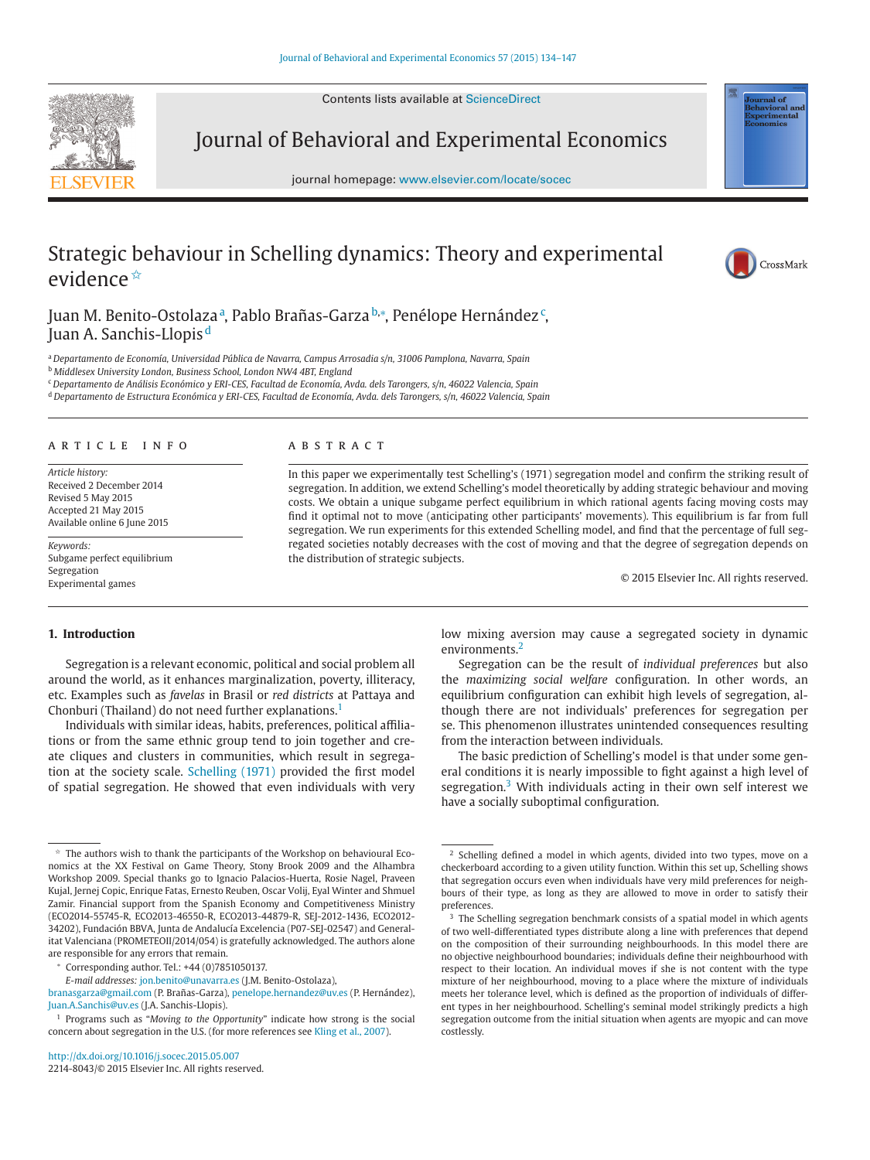Contents lists available at [ScienceDirect](http://www.ScienceDirect.com)



Journal of Behavioral and Experimental Economics

journal homepage: [www.elsevier.com/locate/socec](http://www.elsevier.com/locate/socec)

# Strategic behaviour in Schelling dynamics: Theory and experimental evidence<sup>☆</sup>



Juan M. Benito-Ostolazaª, Pablo Brañas-Garza<sup>b,</sup>\*, Penélope Hernández<sup>c</sup>, Juan A. Sanchis-Llopis <sup>d</sup>

<sup>a</sup> *Departamento de Economía, Universidad Pública de Navarra, Campus Arrosadia s/n, 31006 Pamplona, Navarra, Spain*

<sup>b</sup> *Middlesex University London, Business School, London NW4 4BT, England*

<sup>c</sup> *Departamento de Análisis Económico y ERI-CES, Facultad de Economía, Avda. dels Tarongers, s/n, 46022 Valencia, Spain*

<sup>d</sup> *Departamento de Estructura Económica y ERI-CES, Facultad de Economía, Avda. dels Tarongers, s/n, 46022 Valencia, Spain*

## article info

*Article history:* Received 2 December 2014 Revised 5 May 2015 Accepted 21 May 2015 Available online 6 June 2015

*Keywords:* Subgame perfect equilibrium Segregation Experimental games

## **ABSTRACT**

In this paper we experimentally test Schelling's (1971) segregation model and confirm the striking result of segregation. In addition, we extend Schelling's model theoretically by adding strategic behaviour and moving costs. We obtain a unique subgame perfect equilibrium in which rational agents facing moving costs may find it optimal not to move (anticipating other participants' movements). This equilibrium is far from full segregation. We run experiments for this extended Schelling model, and find that the percentage of full segregated societies notably decreases with the cost of moving and that the degree of segregation depends on the distribution of strategic subjects.

© 2015 Elsevier Inc. All rights reserved.

#### **1. Introduction**

Segregation is a relevant economic, political and social problem all around the world, as it enhances marginalization, poverty, illiteracy, etc. Examples such as *favelas* in Brasil or *red districts* at Pattaya and Chonburi (Thailand) do not need further explanations.<sup>1</sup>

Individuals with similar ideas, habits, preferences, political affiliations or from the same ethnic group tend to join together and create cliques and clusters in communities, which result in segregation at the society scale. [Schelling \(1971\)](#page--1-0) provided the first model of spatial segregation. He showed that even individuals with very low mixing aversion may cause a segregated society in dynamic environments.<sup>2</sup>

Segregation can be the result of *individual preferences* but also the *maximizing social welfare* configuration. In other words, an equilibrium configuration can exhibit high levels of segregation, although there are not individuals' preferences for segregation per se. This phenomenon illustrates unintended consequences resulting from the interaction between individuals.

The basic prediction of Schelling's model is that under some general conditions it is nearly impossible to fight against a high level of segregation.<sup>3</sup> With individuals acting in their own self interest we have a socially suboptimal configuration.

 $*$  The authors wish to thank the participants of the Workshop on behavioural Economics at the XX Festival on Game Theory, Stony Brook 2009 and the Alhambra Workshop 2009. Special thanks go to Ignacio Palacios-Huerta, Rosie Nagel, Praveen Kujal, Jernej Copic, Enrique Fatas, Ernesto Reuben, Oscar Volij, Eyal Winter and Shmuel Zamir. Financial support from the Spanish Economy and Competitiveness Ministry (ECO2014-55745-R, ECO2013-46550-R, ECO2013-44879-R, SEJ-2012-1436, ECO2012- 34202), Fundación BBVA, Junta de Andalucía Excelencia (P07-SEJ-02547) and Generalitat Valenciana (PROMETEOII/2014/054) is gratefully acknowledged. The authors alone are responsible for any errors that remain.

<sup>∗</sup> Corresponding author. Tel.: +44 (0)7851050137.

*E-mail addresses:* [jon.benito@unavarra.es](mailto:jon.benito@unavarra.es) (J.M. Benito-Ostolaza),

branasgarza@gmail.com (P. Brañas-Garza), [penelope.hernandez@uv.](mailto:branasgarza@gmail.com)[es](mailto:penelope.hernandez@uv.es) (P. Hernández), [Juan.A.Sanchis@uv.es](mailto:Juan.A.Sanchis@uv.es) (J.A. Sanchis-Llopis).

<sup>1</sup> Programs such as "*Moving to the Opportunity*" indicate how strong is the social concern about segregation in the U.S. (for more references see [Kling et al., 2007\)](#page--1-0).

<sup>&</sup>lt;sup>2</sup> Schelling defined a model in which agents, divided into two types, move on a checkerboard according to a given utility function. Within this set up, Schelling shows that segregation occurs even when individuals have very mild preferences for neighbours of their type, as long as they are allowed to move in order to satisfy their preferences.

<sup>&</sup>lt;sup>3</sup> The Schelling segregation benchmark consists of a spatial model in which agents of two well-differentiated types distribute along a line with preferences that depend on the composition of their surrounding neighbourhoods. In this model there are no objective neighbourhood boundaries; individuals define their neighbourhood with respect to their location. An individual moves if she is not content with the type mixture of her neighbourhood, moving to a place where the mixture of individuals meets her tolerance level, which is defined as the proportion of individuals of different types in her neighbourhood. Schelling's seminal model strikingly predicts a high segregation outcome from the initial situation when agents are myopic and can move costlessly.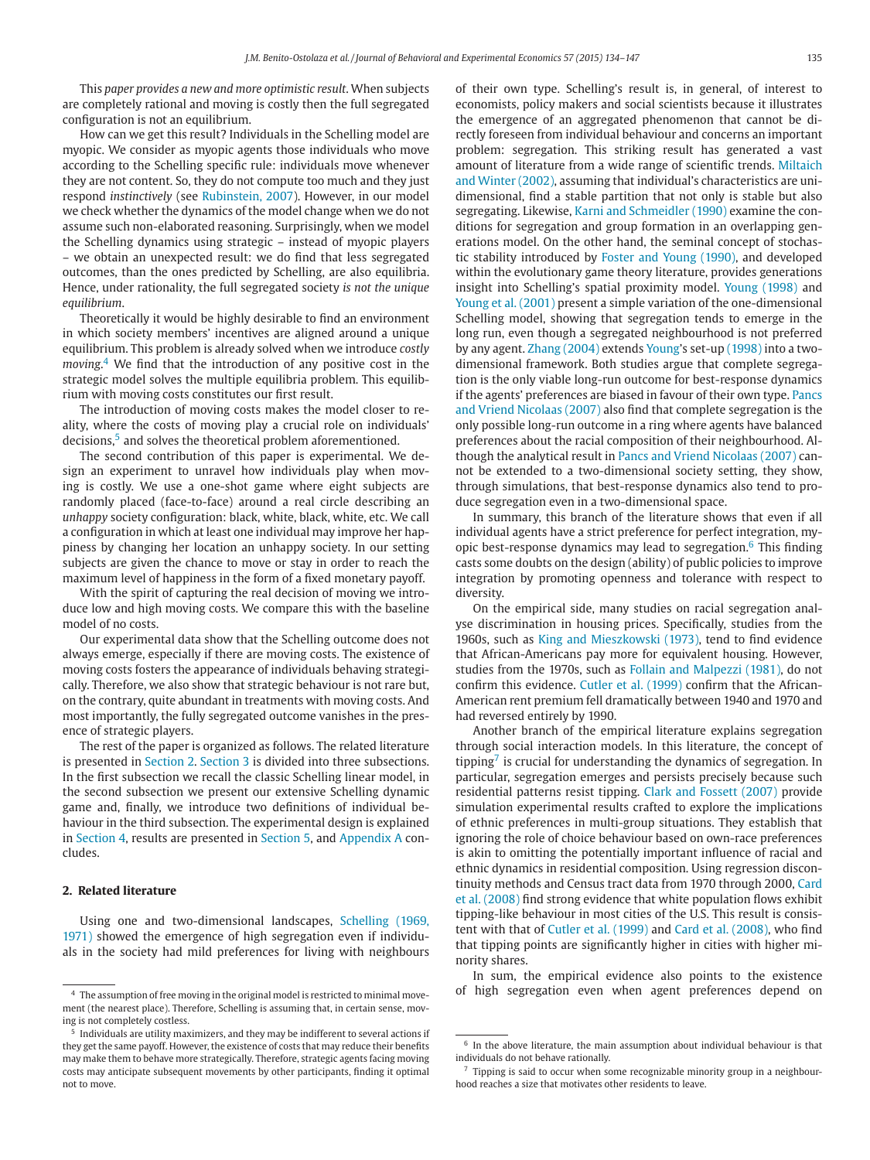This *paper provides a new and more optimistic result*. When subjects are completely rational and moving is costly then the full segregated configuration is not an equilibrium.

How can we get this result? Individuals in the Schelling model are myopic. We consider as myopic agents those individuals who move according to the Schelling specific rule: individuals move whenever they are not content. So, they do not compute too much and they just respond *instinctively* (see [Rubinstein, 2007\)](#page--1-0). However, in our model we check whether the dynamics of the model change when we do not assume such non-elaborated reasoning. Surprisingly, when we model the Schelling dynamics using strategic – instead of myopic players – we obtain an unexpected result: we do find that less segregated outcomes, than the ones predicted by Schelling, are also equilibria. Hence, under rationality, the full segregated society *is not the unique equilibrium*.

Theoretically it would be highly desirable to find an environment in which society members' incentives are aligned around a unique equilibrium. This problem is already solved when we introduce *costly moving*. <sup>4</sup> We find that the introduction of any positive cost in the strategic model solves the multiple equilibria problem. This equilibrium with moving costs constitutes our first result.

The introduction of moving costs makes the model closer to reality, where the costs of moving play a crucial role on individuals' decisions,<sup>5</sup> and solves the theoretical problem aforementioned.

The second contribution of this paper is experimental. We design an experiment to unravel how individuals play when moving is costly. We use a one-shot game where eight subjects are randomly placed (face-to-face) around a real circle describing an *unhappy* society configuration: black, white, black, white, etc. We call a configuration in which at least one individual may improve her happiness by changing her location an unhappy society. In our setting subjects are given the chance to move or stay in order to reach the maximum level of happiness in the form of a fixed monetary payoff.

With the spirit of capturing the real decision of moving we introduce low and high moving costs. We compare this with the baseline model of no costs.

Our experimental data show that the Schelling outcome does not always emerge, especially if there are moving costs. The existence of moving costs fosters the appearance of individuals behaving strategically. Therefore, we also show that strategic behaviour is not rare but, on the contrary, quite abundant in treatments with moving costs. And most importantly, the fully segregated outcome vanishes in the presence of strategic players.

The rest of the paper is organized as follows. The related literature is presented in Section 2. [Section 3](#page--1-0) is divided into three subsections. In the first subsection we recall the classic Schelling linear model, in the second subsection we present our extensive Schelling dynamic game and, finally, we introduce two definitions of individual behaviour in the third subsection. The experimental design is explained in [Section 4,](#page--1-0) results are presented in [Section 5,](#page--1-0) and [Appendix A](#page--1-0) concludes.

# **2. Related literature**

Using one and two-dimensional landscapes, Schelling (1969, 1971) [showed the emergence of high segregation even if individu](#page--1-0)als in the society had mild preferences for living with neighbours of their own type. Schelling's result is, in general, of interest to economists, policy makers and social scientists because it illustrates the emergence of an aggregated phenomenon that cannot be directly foreseen from individual behaviour and concerns an important problem: segregation. This striking result has generated a vast amount of literature from a wide range of scientific trends. Miltaich [and Winter \(2002\), assuming that individual's characteristics are uni](#page--1-0)dimensional, find a stable partition that not only is stable but also segregating. Likewise, [Karni and Schmeidler \(1990\)](#page--1-0) examine the conditions for segregation and group formation in an overlapping generations model. On the other hand, the seminal concept of stochastic stability introduced by [Foster and Young \(1990\),](#page--1-0) and developed within the evolutionary game theory literature, provides generations insight into Schelling's spatial proximity model. [Young \(1998\)](#page--1-0) and [Young et al. \(2001\)](#page--1-0) present a simple variation of the one-dimensional Schelling model, showing that segregation tends to emerge in the long run, even though a segregated neighbourhood is not preferred by any agent. [Zhang \(2004\)](#page--1-0) extends [Young'](#page--1-0)s set-up [\(1998\)](#page--1-0) into a twodimensional framework. Both studies argue that complete segregation is the only viable long-run outcome for best-response dynamics [if the agents' preferences are biased in favour of their own type.](#page--1-0) Pancs and Vriend Nicolaas (2007) also find that complete segregation is the only possible long-run outcome in a ring where agents have balanced preferences about the racial composition of their neighbourhood. Although the analytical result in [Pancs and Vriend Nicolaas \(2007\)](#page--1-0) cannot be extended to a two-dimensional society setting, they show, through simulations, that best-response dynamics also tend to produce segregation even in a two-dimensional space.

In summary, this branch of the literature shows that even if all individual agents have a strict preference for perfect integration, myopic best-response dynamics may lead to segregation.<sup>6</sup> This finding casts some doubts on the design (ability) of public policies to improve integration by promoting openness and tolerance with respect to diversity.

On the empirical side, many studies on racial segregation analyse discrimination in housing prices. Specifically, studies from the 1960s, such as [King and Mieszkowski \(1973\),](#page--1-0) tend to find evidence that African-Americans pay more for equivalent housing. However, studies from the 1970s, such as [Follain and Malpezzi \(1981\),](#page--1-0) do not confirm this evidence. [Cutler et al. \(1999\)](#page--1-0) confirm that the African-American rent premium fell dramatically between 1940 and 1970 and had reversed entirely by 1990.

Another branch of the empirical literature explains segregation through social interaction models. In this literature, the concept of tipping<sup>7</sup> is crucial for understanding the dynamics of segregation. In particular, segregation emerges and persists precisely because such residential patterns resist tipping. [Clark and Fossett \(2007\)](#page--1-0) provide simulation experimental results crafted to explore the implications of ethnic preferences in multi-group situations. They establish that ignoring the role of choice behaviour based on own-race preferences is akin to omitting the potentially important influence of racial and ethnic dynamics in residential composition. Using regression discon[tinuity methods and Census tract data from 1970 through 2000,](#page--1-0) Card et al. (2008) find strong evidence that white population flows exhibit tipping-like behaviour in most cities of the U.S. This result is consistent with that of [Cutler et al. \(1999\)](#page--1-0) and [Card et al. \(2008\),](#page--1-0) who find that tipping points are significantly higher in cities with higher minority shares.

In sum, the empirical evidence also points to the existence of high segregation even when agent preferences depend on

<sup>4</sup> The assumption of free moving in the original model is restricted to minimal movement (the nearest place). Therefore, Schelling is assuming that, in certain sense, moving is not completely costless.

<sup>5</sup> Individuals are utility maximizers, and they may be indifferent to several actions if they get the same payoff. However, the existence of costs that may reduce their benefits may make them to behave more strategically. Therefore, strategic agents facing moving costs may anticipate subsequent movements by other participants, finding it optimal not to move.

 $6$  In the above literature, the main assumption about individual behaviour is that individuals do not behave rationally.

 $7$  Tipping is said to occur when some recognizable minority group in a neighbourhood reaches a size that motivates other residents to leave.